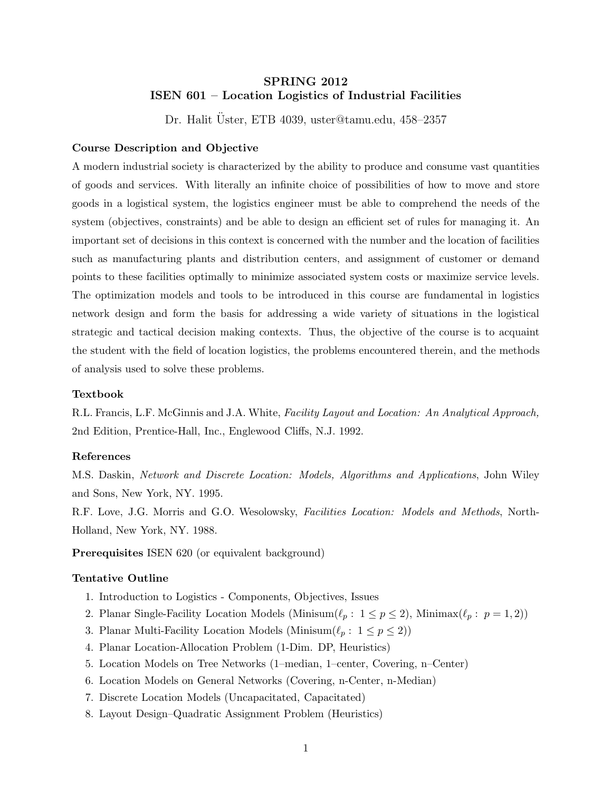# SPRING 2012 ISEN 601 – Location Logistics of Industrial Facilities

Dr. Halit Uster, ETB 4039, uster@tamu.edu, 458–2357 ¨

# Course Description and Objective

A modern industrial society is characterized by the ability to produce and consume vast quantities of goods and services. With literally an infinite choice of possibilities of how to move and store goods in a logistical system, the logistics engineer must be able to comprehend the needs of the system (objectives, constraints) and be able to design an efficient set of rules for managing it. An important set of decisions in this context is concerned with the number and the location of facilities such as manufacturing plants and distribution centers, and assignment of customer or demand points to these facilities optimally to minimize associated system costs or maximize service levels. The optimization models and tools to be introduced in this course are fundamental in logistics network design and form the basis for addressing a wide variety of situations in the logistical strategic and tactical decision making contexts. Thus, the objective of the course is to acquaint the student with the field of location logistics, the problems encountered therein, and the methods of analysis used to solve these problems.

#### Textbook

R.L. Francis, L.F. McGinnis and J.A. White, Facility Layout and Location: An Analytical Approach, 2nd Edition, Prentice-Hall, Inc., Englewood Cliffs, N.J. 1992.

# References

M.S. Daskin, Network and Discrete Location: Models, Algorithms and Applications, John Wiley and Sons, New York, NY. 1995.

R.F. Love, J.G. Morris and G.O. Wesolowsky, Facilities Location: Models and Methods, North-Holland, New York, NY. 1988.

Prerequisites ISEN 620 (or equivalent background)

## Tentative Outline

- 1. Introduction to Logistics Components, Objectives, Issues
- 2. Planar Single-Facility Location Models (Minisum $(\ell_p: 1 \le p \le 2)$ , Minimax $(\ell_p: p = 1, 2)$ )
- 3. Planar Multi-Facility Location Models (Minisum $(\ell_p: 1 \le p \le 2)$ )
- 4. Planar Location-Allocation Problem (1-Dim. DP, Heuristics)
- 5. Location Models on Tree Networks (1–median, 1–center, Covering, n–Center)
- 6. Location Models on General Networks (Covering, n-Center, n-Median)
- 7. Discrete Location Models (Uncapacitated, Capacitated)
- 8. Layout Design–Quadratic Assignment Problem (Heuristics)